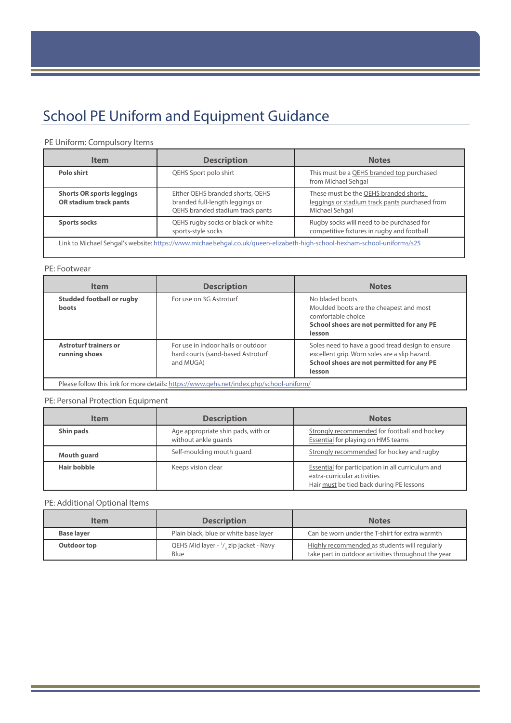# School PE Uniform and Equipment Guidance

# PE Uniform: Compulsory Items

| <b>Item</b>                                                                                                              | <b>Description</b>                                                                                      | <b>Notes</b>                                                                                               |
|--------------------------------------------------------------------------------------------------------------------------|---------------------------------------------------------------------------------------------------------|------------------------------------------------------------------------------------------------------------|
| Polo shirt                                                                                                               | QEHS Sport polo shirt                                                                                   | This must be a QEHS branded top purchased<br>from Michael Sehgal                                           |
| <b>Shorts OR sports leggings</b><br>OR stadium track pants                                                               | Either QEHS branded shorts, QEHS<br>branded full-length leggings or<br>QEHS branded stadium track pants | These must be the QEHS branded shorts,<br>leggings or stadium track pants purchased from<br>Michael Sehgal |
| <b>Sports socks</b>                                                                                                      | QEHS rugby socks or black or white<br>sports-style socks                                                | Rugby socks will need to be purchased for<br>competitive fixtures in rugby and football                    |
| Link to Michael Sehgal's website: https://www.michaelsehgal.co.uk/gueen-elizabeth-high-school-hexham-school-uniforms/s25 |                                                                                                         |                                                                                                            |

#### PE: Footwear

| <b>Item</b>                                                                              | <b>Description</b>                                                                   | <b>Notes</b>                                                                                                                                             |
|------------------------------------------------------------------------------------------|--------------------------------------------------------------------------------------|----------------------------------------------------------------------------------------------------------------------------------------------------------|
| <b>Studded football or rugby</b><br>boots                                                | For use on 3G Astroturf                                                              | No bladed boots<br>Moulded boots are the cheapest and most<br>comfortable choice<br>School shoes are not permitted for any PE<br>lesson                  |
| <b>Astroturf trainers or</b><br>running shoes                                            | For use in indoor halls or outdoor<br>hard courts (sand-based Astroturf<br>and MUGA) | Soles need to have a good tread design to ensure<br>excellent grip. Worn soles are a slip hazard.<br>School shoes are not permitted for any PE<br>lesson |
| Please follow this link for more details: https://www.qehs.net/index.php/school-uniform/ |                                                                                      |                                                                                                                                                          |

#### PE: Personal Protection Equipment

| <b>Item</b> | <b>Description</b>                                         | <b>Notes</b>                                                                                                                 |
|-------------|------------------------------------------------------------|------------------------------------------------------------------------------------------------------------------------------|
| Shin pads   | Age appropriate shin pads, with or<br>without ankle quards | Strongly recommended for football and hockey<br><b>Essential for playing on HMS teams</b>                                    |
| Mouth guard | Self-moulding mouth quard                                  | Strongly recommended for hockey and rugby                                                                                    |
| Hair bobble | Keeps vision clear                                         | Essential for participation in all curriculum and<br>extra-curricular activities<br>Hair must be tied back during PE lessons |

# PE: Additional Optional Items

| Item              | <b>Description</b>                                                     | <b>Notes</b>                                                                                         |
|-------------------|------------------------------------------------------------------------|------------------------------------------------------------------------------------------------------|
| <b>Base layer</b> | Plain black, blue or white base layer                                  | Can be worn under the T-shirt for extra warmth                                                       |
| Outdoor top       | QEHS Mid layer - <sup>1</sup> / <sub>4</sub> zip jacket - Navy<br>Blue | Highly recommended as students will regularly<br>take part in outdoor activities throughout the year |